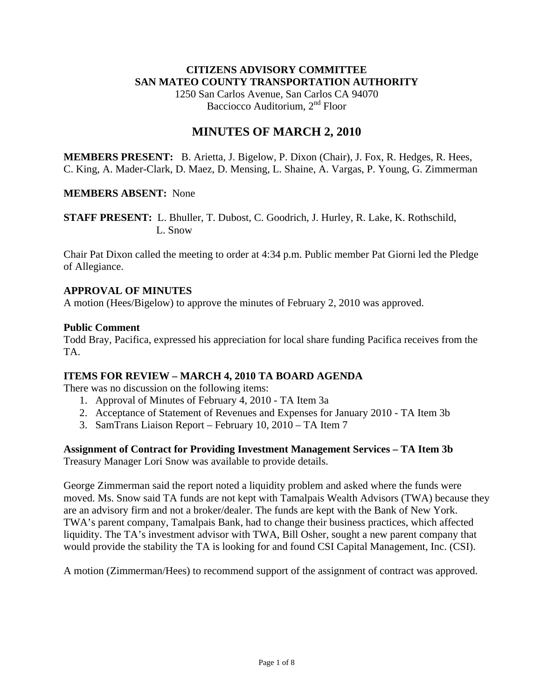## **CITIZENS ADVISORY COMMITTEE SAN MATEO COUNTY TRANSPORTATION AUTHORITY**

1250 San Carlos Avenue, San Carlos CA 94070 Bacciocco Auditorium, 2<sup>nd</sup> Floor

# **MINUTES OF MARCH 2, 2010**

**MEMBERS PRESENT:** B. Arietta, J. Bigelow, P. Dixon (Chair), J. Fox, R. Hedges, R. Hees, C. King, A. Mader-Clark, D. Maez, D. Mensing, L. Shaine, A. Vargas, P. Young, G. Zimmerman

### **MEMBERS ABSENT:** None

**STAFF PRESENT:** L. Bhuller, T. Dubost, C. Goodrich, J. Hurley, R. Lake, K. Rothschild, L. Snow

Chair Pat Dixon called the meeting to order at 4:34 p.m. Public member Pat Giorni led the Pledge of Allegiance.

### **APPROVAL OF MINUTES**

A motion (Hees/Bigelow) to approve the minutes of February 2, 2010 was approved.

#### **Public Comment**

Todd Bray, Pacifica, expressed his appreciation for local share funding Pacifica receives from the TA.

### **ITEMS FOR REVIEW – MARCH 4, 2010 TA BOARD AGENDA**

There was no discussion on the following items:

- 1. Approval of Minutes of February 4, 2010 TA Item 3a
- 2. Acceptance of Statement of Revenues and Expenses for January 2010 TA Item 3b
- 3. SamTrans Liaison Report February 10, 2010 TA Item 7

### **Assignment of Contract for Providing Investment Management Services – TA Item 3b**

Treasury Manager Lori Snow was available to provide details.

George Zimmerman said the report noted a liquidity problem and asked where the funds were moved. Ms. Snow said TA funds are not kept with Tamalpais Wealth Advisors (TWA) because they are an advisory firm and not a broker/dealer. The funds are kept with the Bank of New York. TWA's parent company, Tamalpais Bank, had to change their business practices, which affected liquidity. The TA's investment advisor with TWA, Bill Osher, sought a new parent company that would provide the stability the TA is looking for and found CSI Capital Management, Inc. (CSI).

A motion (Zimmerman/Hees) to recommend support of the assignment of contract was approved.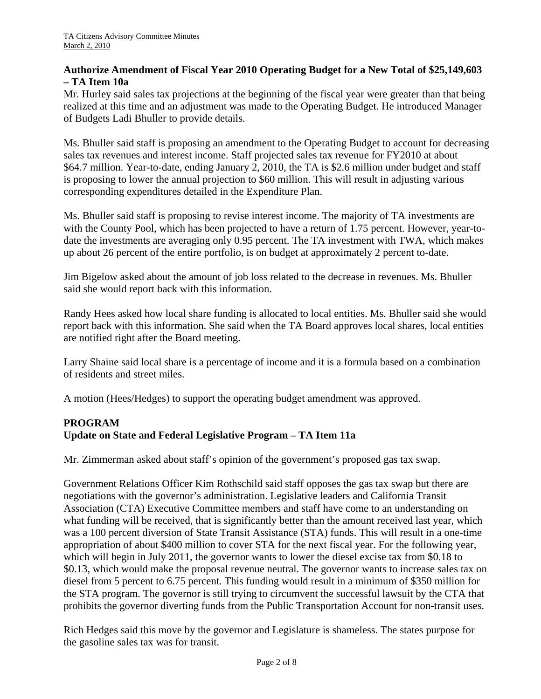## **Authorize Amendment of Fiscal Year 2010 Operating Budget for a New Total of \$25,149,603 – TA Item 10a**

Mr. Hurley said sales tax projections at the beginning of the fiscal year were greater than that being realized at this time and an adjustment was made to the Operating Budget. He introduced Manager of Budgets Ladi Bhuller to provide details.

Ms. Bhuller said staff is proposing an amendment to the Operating Budget to account for decreasing sales tax revenues and interest income. Staff projected sales tax revenue for FY2010 at about \$64.7 million. Year-to-date, ending January 2, 2010, the TA is \$2.6 million under budget and staff is proposing to lower the annual projection to \$60 million. This will result in adjusting various corresponding expenditures detailed in the Expenditure Plan.

Ms. Bhuller said staff is proposing to revise interest income. The majority of TA investments are with the County Pool, which has been projected to have a return of 1.75 percent. However, year-todate the investments are averaging only 0.95 percent. The TA investment with TWA, which makes up about 26 percent of the entire portfolio, is on budget at approximately 2 percent to-date.

Jim Bigelow asked about the amount of job loss related to the decrease in revenues. Ms. Bhuller said she would report back with this information.

Randy Hees asked how local share funding is allocated to local entities. Ms. Bhuller said she would report back with this information. She said when the TA Board approves local shares, local entities are notified right after the Board meeting.

Larry Shaine said local share is a percentage of income and it is a formula based on a combination of residents and street miles.

A motion (Hees/Hedges) to support the operating budget amendment was approved.

## **PROGRAM Update on State and Federal Legislative Program – TA Item 11a**

Mr. Zimmerman asked about staff's opinion of the government's proposed gas tax swap.

Government Relations Officer Kim Rothschild said staff opposes the gas tax swap but there are negotiations with the governor's administration. Legislative leaders and California Transit Association (CTA) Executive Committee members and staff have come to an understanding on what funding will be received, that is significantly better than the amount received last year, which was a 100 percent diversion of State Transit Assistance (STA) funds. This will result in a one-time appropriation of about \$400 million to cover STA for the next fiscal year. For the following year, which will begin in July 2011, the governor wants to lower the diesel excise tax from \$0.18 to \$0.13, which would make the proposal revenue neutral. The governor wants to increase sales tax on diesel from 5 percent to 6.75 percent. This funding would result in a minimum of \$350 million for the STA program. The governor is still trying to circumvent the successful lawsuit by the CTA that prohibits the governor diverting funds from the Public Transportation Account for non-transit uses.

Rich Hedges said this move by the governor and Legislature is shameless. The states purpose for the gasoline sales tax was for transit.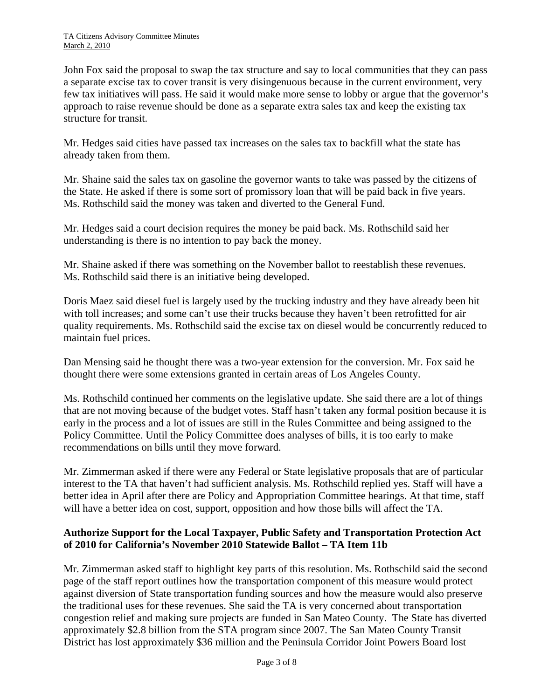John Fox said the proposal to swap the tax structure and say to local communities that they can pass a separate excise tax to cover transit is very disingenuous because in the current environment, very few tax initiatives will pass. He said it would make more sense to lobby or argue that the governor's approach to raise revenue should be done as a separate extra sales tax and keep the existing tax structure for transit.

Mr. Hedges said cities have passed tax increases on the sales tax to backfill what the state has already taken from them.

Mr. Shaine said the sales tax on gasoline the governor wants to take was passed by the citizens of the State. He asked if there is some sort of promissory loan that will be paid back in five years. Ms. Rothschild said the money was taken and diverted to the General Fund.

Mr. Hedges said a court decision requires the money be paid back. Ms. Rothschild said her understanding is there is no intention to pay back the money.

Mr. Shaine asked if there was something on the November ballot to reestablish these revenues. Ms. Rothschild said there is an initiative being developed.

Doris Maez said diesel fuel is largely used by the trucking industry and they have already been hit with toll increases; and some can't use their trucks because they haven't been retrofitted for air quality requirements. Ms. Rothschild said the excise tax on diesel would be concurrently reduced to maintain fuel prices.

Dan Mensing said he thought there was a two-year extension for the conversion. Mr. Fox said he thought there were some extensions granted in certain areas of Los Angeles County.

Ms. Rothschild continued her comments on the legislative update. She said there are a lot of things that are not moving because of the budget votes. Staff hasn't taken any formal position because it is early in the process and a lot of issues are still in the Rules Committee and being assigned to the Policy Committee. Until the Policy Committee does analyses of bills, it is too early to make recommendations on bills until they move forward.

Mr. Zimmerman asked if there were any Federal or State legislative proposals that are of particular interest to the TA that haven't had sufficient analysis. Ms. Rothschild replied yes. Staff will have a better idea in April after there are Policy and Appropriation Committee hearings. At that time, staff will have a better idea on cost, support, opposition and how those bills will affect the TA.

## **Authorize Support for the Local Taxpayer, Public Safety and Transportation Protection Act of 2010 for California's November 2010 Statewide Ballot – TA Item 11b**

Mr. Zimmerman asked staff to highlight key parts of this resolution. Ms. Rothschild said the second page of the staff report outlines how the transportation component of this measure would protect against diversion of State transportation funding sources and how the measure would also preserve the traditional uses for these revenues. She said the TA is very concerned about transportation congestion relief and making sure projects are funded in San Mateo County. The State has diverted approximately \$2.8 billion from the STA program since 2007. The San Mateo County Transit District has lost approximately \$36 million and the Peninsula Corridor Joint Powers Board lost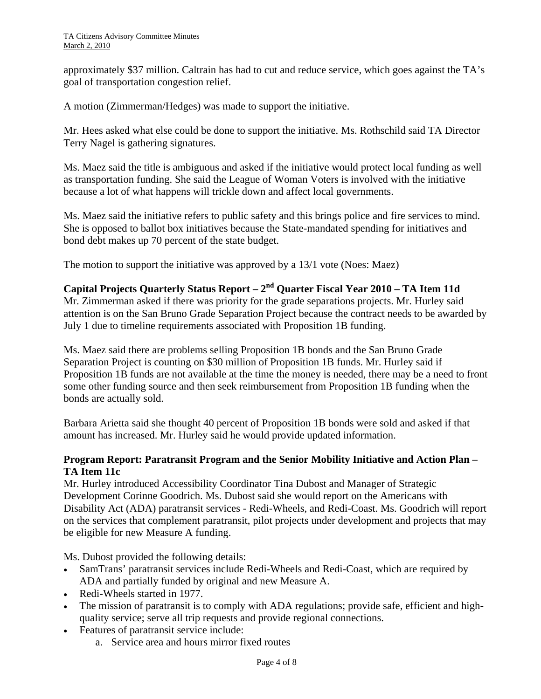approximately \$37 million. Caltrain has had to cut and reduce service, which goes against the TA's goal of transportation congestion relief.

A motion (Zimmerman/Hedges) was made to support the initiative.

Mr. Hees asked what else could be done to support the initiative. Ms. Rothschild said TA Director Terry Nagel is gathering signatures.

Ms. Maez said the title is ambiguous and asked if the initiative would protect local funding as well as transportation funding. She said the League of Woman Voters is involved with the initiative because a lot of what happens will trickle down and affect local governments.

Ms. Maez said the initiative refers to public safety and this brings police and fire services to mind. She is opposed to ballot box initiatives because the State-mandated spending for initiatives and bond debt makes up 70 percent of the state budget.

The motion to support the initiative was approved by a 13/1 vote (Noes: Maez)

# **Capital Projects Quarterly Status Report – 2nd Quarter Fiscal Year 2010 – TA Item 11d**

Mr. Zimmerman asked if there was priority for the grade separations projects. Mr. Hurley said attention is on the San Bruno Grade Separation Project because the contract needs to be awarded by July 1 due to timeline requirements associated with Proposition 1B funding.

Ms. Maez said there are problems selling Proposition 1B bonds and the San Bruno Grade Separation Project is counting on \$30 million of Proposition 1B funds. Mr. Hurley said if Proposition 1B funds are not available at the time the money is needed, there may be a need to front some other funding source and then seek reimbursement from Proposition 1B funding when the bonds are actually sold.

Barbara Arietta said she thought 40 percent of Proposition 1B bonds were sold and asked if that amount has increased. Mr. Hurley said he would provide updated information.

## **Program Report: Paratransit Program and the Senior Mobility Initiative and Action Plan – TA Item 11c**

Mr. Hurley introduced Accessibility Coordinator Tina Dubost and Manager of Strategic Development Corinne Goodrich. Ms. Dubost said she would report on the Americans with Disability Act (ADA) paratransit services - Redi-Wheels, and Redi-Coast. Ms. Goodrich will report on the services that complement paratransit, pilot projects under development and projects that may be eligible for new Measure A funding.

Ms. Dubost provided the following details:

- SamTrans' paratransit services include Redi-Wheels and Redi-Coast, which are required by ADA and partially funded by original and new Measure A.
- Redi-Wheels started in 1977.
- The mission of paratransit is to comply with ADA regulations; provide safe, efficient and highquality service; serve all trip requests and provide regional connections.
- Features of paratransit service include:
	- a. Service area and hours mirror fixed routes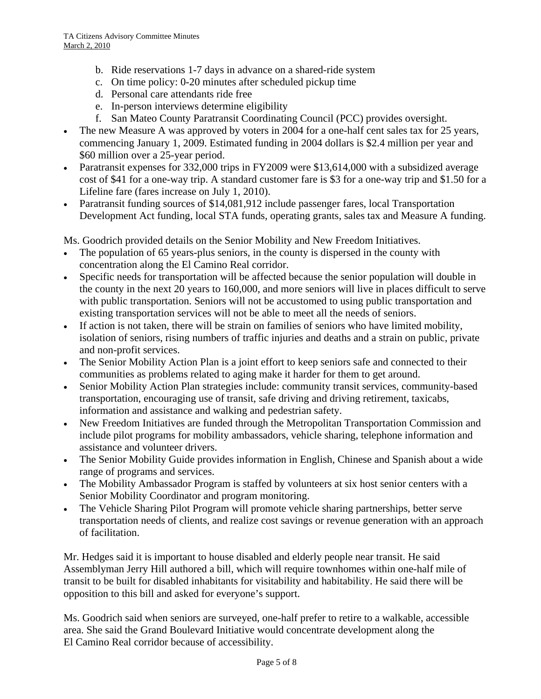- b. Ride reservations 1-7 days in advance on a shared-ride system
- c. On time policy: 0-20 minutes after scheduled pickup time
- d. Personal care attendants ride free
- e. In-person interviews determine eligibility
- f. San Mateo County Paratransit Coordinating Council (PCC) provides oversight.
- The new Measure A was approved by voters in 2004 for a one-half cent sales tax for 25 years, commencing January 1, 2009. Estimated funding in 2004 dollars is \$2.4 million per year and \$60 million over a 25-year period.
- Paratransit expenses for 332,000 trips in FY2009 were \$13,614,000 with a subsidized average cost of \$41 for a one-way trip. A standard customer fare is \$3 for a one-way trip and \$1.50 for a Lifeline fare (fares increase on July 1, 2010).
- Paratransit funding sources of \$14,081,912 include passenger fares, local Transportation Development Act funding, local STA funds, operating grants, sales tax and Measure A funding.

Ms. Goodrich provided details on the Senior Mobility and New Freedom Initiatives.

- The population of 65 years-plus seniors, in the county is dispersed in the county with concentration along the El Camino Real corridor.
- Specific needs for transportation will be affected because the senior population will double in the county in the next 20 years to 160,000, and more seniors will live in places difficult to serve with public transportation. Seniors will not be accustomed to using public transportation and existing transportation services will not be able to meet all the needs of seniors.
- If action is not taken, there will be strain on families of seniors who have limited mobility, isolation of seniors, rising numbers of traffic injuries and deaths and a strain on public, private and non-profit services.
- The Senior Mobility Action Plan is a joint effort to keep seniors safe and connected to their communities as problems related to aging make it harder for them to get around.
- Senior Mobility Action Plan strategies include: community transit services, community-based transportation, encouraging use of transit, safe driving and driving retirement, taxicabs, information and assistance and walking and pedestrian safety.
- New Freedom Initiatives are funded through the Metropolitan Transportation Commission and include pilot programs for mobility ambassadors, vehicle sharing, telephone information and assistance and volunteer drivers.
- The Senior Mobility Guide provides information in English, Chinese and Spanish about a wide range of programs and services.
- The Mobility Ambassador Program is staffed by volunteers at six host senior centers with a Senior Mobility Coordinator and program monitoring.
- The Vehicle Sharing Pilot Program will promote vehicle sharing partnerships, better serve transportation needs of clients, and realize cost savings or revenue generation with an approach of facilitation.

Mr. Hedges said it is important to house disabled and elderly people near transit. He said Assemblyman Jerry Hill authored a bill, which will require townhomes within one-half mile of transit to be built for disabled inhabitants for visitability and habitability. He said there will be opposition to this bill and asked for everyone's support.

Ms. Goodrich said when seniors are surveyed, one-half prefer to retire to a walkable, accessible area. She said the Grand Boulevard Initiative would concentrate development along the El Camino Real corridor because of accessibility.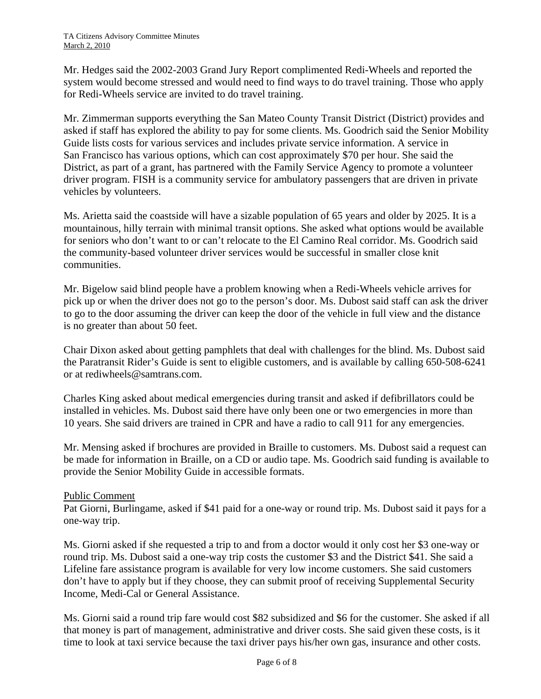Mr. Hedges said the 2002-2003 Grand Jury Report complimented Redi-Wheels and reported the system would become stressed and would need to find ways to do travel training. Those who apply for Redi-Wheels service are invited to do travel training.

Mr. Zimmerman supports everything the San Mateo County Transit District (District) provides and asked if staff has explored the ability to pay for some clients. Ms. Goodrich said the Senior Mobility Guide lists costs for various services and includes private service information. A service in San Francisco has various options, which can cost approximately \$70 per hour. She said the District, as part of a grant, has partnered with the Family Service Agency to promote a volunteer driver program. FISH is a community service for ambulatory passengers that are driven in private vehicles by volunteers.

Ms. Arietta said the coastside will have a sizable population of 65 years and older by 2025. It is a mountainous, hilly terrain with minimal transit options. She asked what options would be available for seniors who don't want to or can't relocate to the El Camino Real corridor. Ms. Goodrich said the community-based volunteer driver services would be successful in smaller close knit communities.

Mr. Bigelow said blind people have a problem knowing when a Redi-Wheels vehicle arrives for pick up or when the driver does not go to the person's door. Ms. Dubost said staff can ask the driver to go to the door assuming the driver can keep the door of the vehicle in full view and the distance is no greater than about 50 feet.

Chair Dixon asked about getting pamphlets that deal with challenges for the blind. Ms. Dubost said the Paratransit Rider's Guide is sent to eligible customers, and is available by calling 650-508-6241 or at [rediwheels@samtrans.com.](mailto:rediwheels@samtrans.com)

Charles King asked about medical emergencies during transit and asked if defibrillators could be installed in vehicles. Ms. Dubost said there have only been one or two emergencies in more than 10 years. She said drivers are trained in CPR and have a radio to call 911 for any emergencies.

Mr. Mensing asked if brochures are provided in Braille to customers. Ms. Dubost said a request can be made for information in Braille, on a CD or audio tape. Ms. Goodrich said funding is available to provide the Senior Mobility Guide in accessible formats.

## Public Comment

Pat Giorni, Burlingame, asked if \$41 paid for a one-way or round trip. Ms. Dubost said it pays for a one-way trip.

Ms. Giorni asked if she requested a trip to and from a doctor would it only cost her \$3 one-way or round trip. Ms. Dubost said a one-way trip costs the customer \$3 and the District \$41. She said a Lifeline fare assistance program is available for very low income customers. She said customers don't have to apply but if they choose, they can submit proof of receiving Supplemental Security Income, Medi-Cal or General Assistance.

Ms. Giorni said a round trip fare would cost \$82 subsidized and \$6 for the customer. She asked if all that money is part of management, administrative and driver costs. She said given these costs, is it time to look at taxi service because the taxi driver pays his/her own gas, insurance and other costs.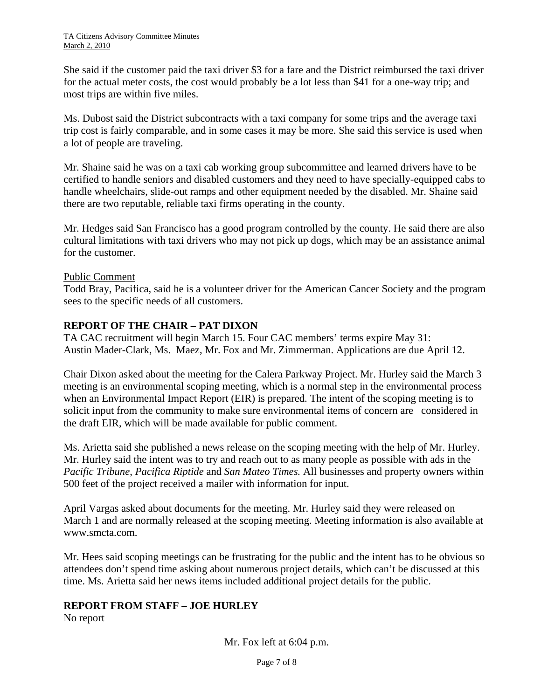She said if the customer paid the taxi driver \$3 for a fare and the District reimbursed the taxi driver for the actual meter costs, the cost would probably be a lot less than \$41 for a one-way trip; and most trips are within five miles.

Ms. Dubost said the District subcontracts with a taxi company for some trips and the average taxi trip cost is fairly comparable, and in some cases it may be more. She said this service is used when a lot of people are traveling.

Mr. Shaine said he was on a taxi cab working group subcommittee and learned drivers have to be certified to handle seniors and disabled customers and they need to have specially-equipped cabs to handle wheelchairs, slide-out ramps and other equipment needed by the disabled. Mr. Shaine said there are two reputable, reliable taxi firms operating in the county.

Mr. Hedges said San Francisco has a good program controlled by the county. He said there are also cultural limitations with taxi drivers who may not pick up dogs, which may be an assistance animal for the customer.

## Public Comment

Todd Bray, Pacifica, said he is a volunteer driver for the American Cancer Society and the program sees to the specific needs of all customers.

## **REPORT OF THE CHAIR – PAT DIXON**

TA CAC recruitment will begin March 15. Four CAC members' terms expire May 31: Austin Mader-Clark, Ms. Maez, Mr. Fox and Mr. Zimmerman. Applications are due April 12.

Chair Dixon asked about the meeting for the Calera Parkway Project. Mr. Hurley said the March 3 meeting is an environmental scoping meeting, which is a normal step in the environmental process when an Environmental Impact Report (EIR) is prepared. The intent of the scoping meeting is to solicit input from the community to make sure environmental items of concern are considered in the draft EIR, which will be made available for public comment.

Ms. Arietta said she published a news release on the scoping meeting with the help of Mr. Hurley. Mr. Hurley said the intent was to try and reach out to as many people as possible with ads in the *Pacific Tribune*, *Pacifica Riptide* and *San Mateo Times.* All businesses and property owners within 500 feet of the project received a mailer with information for input.

April Vargas asked about documents for the meeting. Mr. Hurley said they were released on March 1 and are normally released at the scoping meeting. Meeting information is also available at www.smcta.com.

Mr. Hees said scoping meetings can be frustrating for the public and the intent has to be obvious so attendees don't spend time asking about numerous project details, which can't be discussed at this time. Ms. Arietta said her news items included additional project details for the public.

## **REPORT FROM STAFF – JOE HURLEY**

No report

Mr. Fox left at 6:04 p.m.